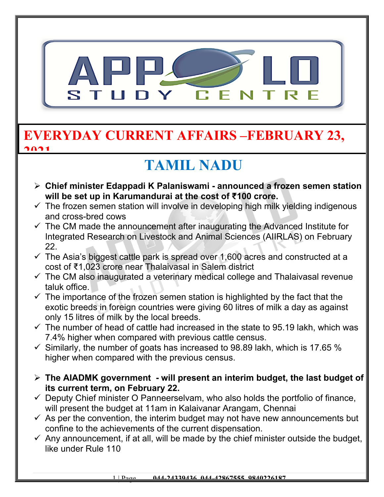

#### **EVERYDAY CURRENT AFFAIRS –FEBRUARY 23, 2021**

# **TAMIL NADU**

- **Chief minister Edappadi K Palaniswami announced a frozen semen station will be set up in Karumandurai at the cost of ₹100 crore.**
- $\checkmark$  The frozen semen station will involve in developing high milk yielding indigenous and cross-bred cows
- $\checkmark$  The CM made the announcement after inaugurating the Advanced Institute for Integrated Research on Livestock and Animal Sciences (AIIRLAS) on February 22.
- $\checkmark$  The Asia's biggest cattle park is spread over 1,600 acres and constructed at a cost of ₹1,023 crore near Thalaivasal in Salem district
- $\checkmark$  The CM also inaugurated a veterinary medical college and Thalaivasal revenue taluk office.
- $\checkmark$  The importance of the frozen semen station is highlighted by the fact that the exotic breeds in foreign countries were giving 60 litres of milk a day as against only 15 litres of milk by the local breeds.
- $\checkmark$  The number of head of cattle had increased in the state to 95.19 lakh, which was 7.4% higher when compared with previous cattle census.
- $\checkmark$  Similarly, the number of goats has increased to 98.89 lakh, which is 17.65 % higher when compared with the previous census.
- **The AIADMK government will present an interim budget, the last budget of its current term, on February 22.**
- $\checkmark$  Deputy Chief minister O Panneerselvam, who also holds the portfolio of finance, will present the budget at 11am in Kalaivanar Arangam, Chennai
- $\checkmark$  As per the convention, the interim budget may not have new announcements but confine to the achievements of the current dispensation.
- $\checkmark$  Any announcement, if at all, will be made by the chief minister outside the budget, like under Rule 110

1 | Page **044-24339436, 044-42867555, 9840226187**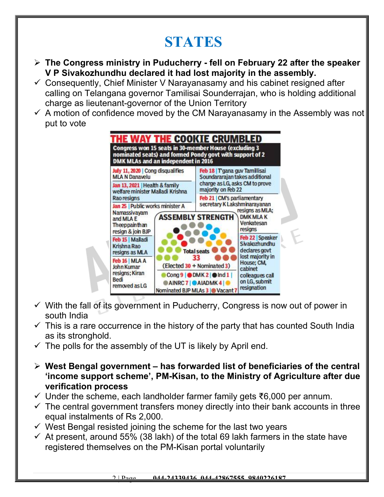# **STATES**

- **The Congress ministry in Puducherry fell on February 22 after the speaker V P Sivakozhundhu declared it had lost majority in the assembly.**
- $\checkmark$  Consequently, Chief Minister V Narayanasamy and his cabinet resigned after calling on Telangana governor Tamilisai Sounderrajan, who is holding additional charge as lieutenant-governor of the Union Territory
- $\checkmark$  A motion of confidence moved by the CM Narayanasamy in the Assembly was not put to vote



- $\checkmark$  With the fall of its government in Puducherry, Congress is now out of power in south India
- $\checkmark$  This is a rare occurrence in the history of the party that has counted South India as its stronghold.
- $\checkmark$  The polls for the assembly of the UT is likely by April end.
- **West Bengal government has forwarded list of beneficiaries of the central 'income support scheme', PM-Kisan, to the Ministry of Agriculture after due verification process**
- Under the scheme, each landholder farmer family gets ₹6,000 per annum.
- $\checkmark$  The central government transfers money directly into their bank accounts in three equal instalments of Rs 2,000.
- $\checkmark$  West Bengal resisted joining the scheme for the last two years
- $\checkmark$  At present, around 55% (38 lakh) of the total 69 lakh farmers in the state have registered themselves on the PM-Kisan portal voluntarily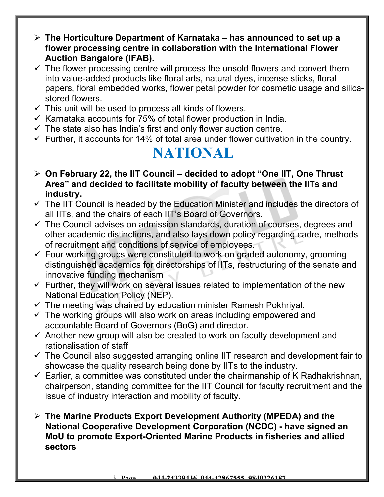- **The Horticulture Department of Karnataka has announced to set up a flower processing centre in collaboration with the International Flower Auction Bangalore (IFAB).**
- $\checkmark$  The flower processing centre will process the unsold flowers and convert them into value-added products like floral arts, natural dyes, incense sticks, floral papers, floral embedded works, flower petal powder for cosmetic usage and silicastored flowers.
- $\checkmark$  This unit will be used to process all kinds of flowers.
- $\checkmark$  Karnataka accounts for 75% of total flower production in India.
- $\checkmark$  The state also has India's first and only flower auction centre.
- $\checkmark$  Further, it accounts for 14% of total area under flower cultivation in the country.

#### **NATIONAL**

- **On February 22, the IIT Council decided to adopt "One IIT, One Thrust Area" and decided to facilitate mobility of faculty between the IITs and industry.**
- $\checkmark$  The IIT Council is headed by the Education Minister and includes the directors of all IITs, and the chairs of each IIT's Board of Governors.
- $\checkmark$  The Council advises on admission standards, duration of courses, degrees and other academic distinctions, and also lays down policy regarding cadre, methods of recruitment and conditions of service of employees.
- $\checkmark$  Four working groups were constituted to work on graded autonomy, grooming distinguished academics for directorships of IITs, restructuring of the senate and innovative funding mechanism
- $\checkmark$  Further, they will work on several issues related to implementation of the new National Education Policy (NEP).
- $\checkmark$  The meeting was chaired by education minister Ramesh Pokhriyal.
- $\checkmark$  The working groups will also work on areas including empowered and accountable Board of Governors (BoG) and director.
- $\checkmark$  Another new group will also be created to work on faculty development and rationalisation of staff
- $\checkmark$  The Council also suggested arranging online IIT research and development fair to showcase the quality research being done by IITs to the industry.
- $\checkmark$  Earlier, a committee was constituted under the chairmanship of K Radhakrishnan, chairperson, standing committee for the IIT Council for faculty recruitment and the issue of industry interaction and mobility of faculty.
- **The Marine Products Export Development Authority (MPEDA) and the National Cooperative Development Corporation (NCDC) - have signed an MoU to promote Export-Oriented Marine Products in fisheries and allied sectors**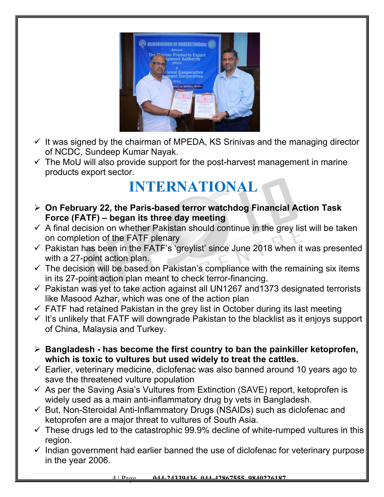

- $\checkmark$  It was signed by the chairman of MPEDA, KS Srinivas and the managing director of NCDC, Sundeep Kumar Nayak.
- $\checkmark$  The MoU will also provide support for the post-harvest management in marine products export sector.

## **INTERNATIONAL**

- **On February 22, the Paris-based terror watchdog Financial Action Task Force (FATF) – began its three day meeting**
- $\checkmark$  A final decision on whether Pakistan should continue in the grey list will be taken on completion of the FATF plenary
- $\checkmark$  Pakistan has been in the FATF's 'greylist' since June 2018 when it was presented with a 27-point action plan.
- $\checkmark$  The decision will be based on Pakistan's compliance with the remaining six items in its 27-point action plan meant to check terror-financing.
- $\checkmark$  Pakistan was yet to take action against all UN1267 and 1373 designated terrorists like Masood Azhar, which was one of the action plan
- $\checkmark$  FATF had retained Pakistan in the grey list in October during its last meeting
- $\checkmark$  It's unlikely that FATF will downgrade Pakistan to the blacklist as it enjoys support of China, Malaysia and Turkey.
- **Bangladesh has become the first country to ban the painkiller ketoprofen, which is toxic to vultures but used widely to treat the cattles.**
- $\checkmark$  Earlier, veterinary medicine, diclofenac was also banned around 10 years ago to save the threatened vulture population
- $\checkmark$  As per the Saving Asia's Vultures from Extinction (SAVE) report, ketoprofen is widely used as a main anti-inflammatory drug by vets in Bangladesh.
- $\checkmark$  But, Non-Steroidal Anti-Inflammatory Drugs (NSAIDs) such as diclofenac and ketoprofen are a major threat to vultures of South Asia.
- $\checkmark$  These drugs led to the catastrophic 99.9% decline of white-rumped vultures in this region.
- $\checkmark$  Indian government had earlier banned the use of diclofenac for veterinary purpose in the year 2006.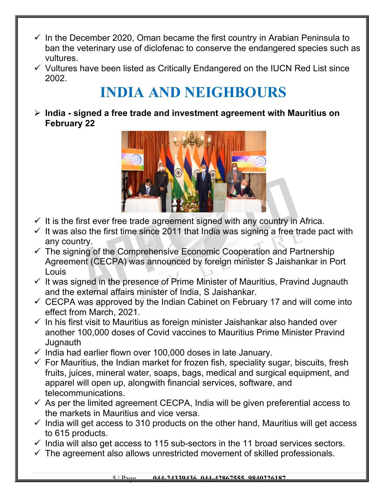- $\checkmark$  In the December 2020, Oman became the first country in Arabian Peninsula to ban the veterinary use of diclofenac to conserve the endangered species such as vultures.
- $\checkmark$  Vultures have been listed as Critically Endangered on the IUCN Red List since 2002.

# **INDIA AND NEIGHBOURS**

 **India - signed a free trade and investment agreement with Mauritius on February 22**



- $\checkmark$  It is the first ever free trade agreement signed with any country in Africa.
- $\checkmark$  It was also the first time since 2011 that India was signing a free trade pact with any country.
- $\checkmark$  The signing of the Comprehensive Economic Cooperation and Partnership Agreement (CECPA) was announced by foreign minister S Jaishankar in Port Louis
- $\checkmark$  It was signed in the presence of Prime Minister of Mauritius, Pravind Jugnauth and the external affairs minister of India, S Jaishankar.
- $\checkmark$  CECPA was approved by the Indian Cabinet on February 17 and will come into effect from March, 2021.
- $\checkmark$  In his first visit to Mauritius as foreign minister Jaishankar also handed over another 100,000 doses of Covid vaccines to Mauritius Prime Minister Pravind **Jugnauth**
- $\checkmark$  India had earlier flown over 100,000 doses in late January.
- $\checkmark$  For Mauritius, the Indian market for frozen fish, speciality sugar, biscuits, fresh fruits, juices, mineral water, soaps, bags, medical and surgical equipment, and apparel will open up, alongwith financial services, software, and telecommunications.
- $\checkmark$  As per the limited agreement CECPA, India will be given preferential access to the markets in Mauritius and vice versa.
- $\checkmark$  India will get access to 310 products on the other hand, Mauritius will get access to 615 products.
- $\checkmark$  India will also get access to 115 sub-sectors in the 11 broad services sectors.
- $\checkmark$  The agreement also allows unrestricted movement of skilled professionals.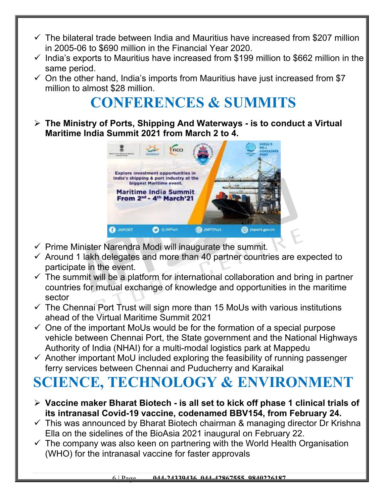- $\checkmark$  The bilateral trade between India and Mauritius have increased from \$207 million in 2005-06 to \$690 million in the Financial Year 2020.
- $\checkmark$  India's exports to Mauritius have increased from \$199 million to \$662 million in the same period.
- $\checkmark$  On the other hand, India's imports from Mauritius have just increased from \$7 million to almost \$28 million.

## **CONFERENCES & SUMMITS**

 **The Ministry of Ports, Shipping And Waterways - is to conduct a Virtual Maritime India Summit 2021 from March 2 to 4.**



- $\checkmark$  Prime Minister Narendra Modi will inaugurate the summit.
- $\checkmark$  Around 1 lakh delegates and more than 40 partner countries are expected to participate in the event.
- $\checkmark$  The summit will be a platform for international collaboration and bring in partner countries for mutual exchange of knowledge and opportunities in the maritime sector
- $\checkmark$  The Chennai Port Trust will sign more than 15 MoUs with various institutions ahead of the Virtual Maritime Summit 2021
- $\checkmark$  One of the important MoUs would be for the formation of a special purpose vehicle between Chennai Port, the State government and the National Highways Authority of India (NHAI) for a multi-modal logistics park at Mappedu
- $\checkmark$  Another important MoU included exploring the feasibility of running passenger ferry services between Chennai and Puducherry and Karaikal

# **SCIENCE, TECHNOLOGY & ENVIRONMENT**

- **Vaccine maker Bharat Biotech is all set to kick off phase 1 clinical trials of its intranasal Covid-19 vaccine, codenamed BBV154, from February 24.**
- $\checkmark$  This was announced by Bharat Biotech chairman & managing director Dr Krishna Ella on the sidelines of the BioAsia 2021 inaugural on February 22.
- $\checkmark$  The company was also keen on partnering with the World Health Organisation (WHO) for the intranasal vaccine for faster approvals